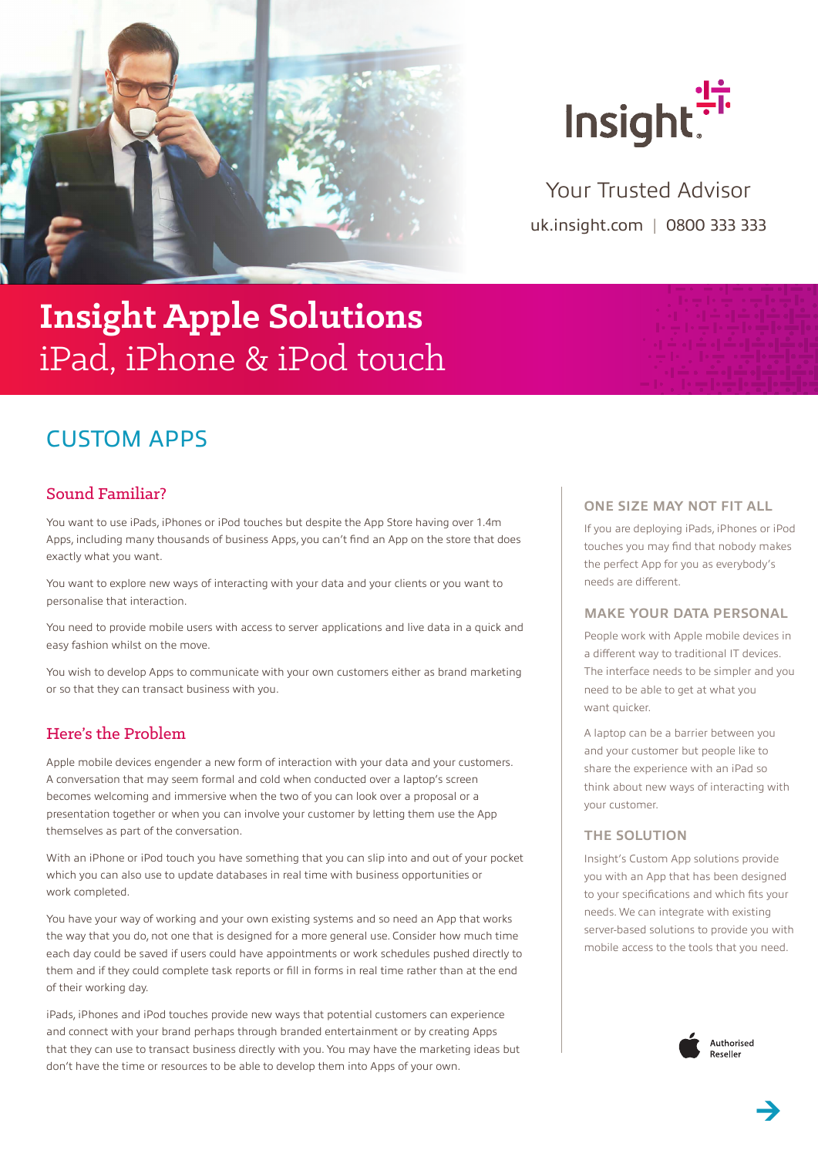



uk.insight.com | 0800 333 333 Your Trusted Advisor

# **Insight Apple Solutions** iPad, iPhone & iPod touch

# CUSTOM APPS

# Sound Familiar?

You want to use iPads, iPhones or iPod touches but despite the App Store having over 1.4m Apps, including many thousands of business Apps, you can't find an App on the store that does exactly what you want.

You want to explore new ways of interacting with your data and your clients or you want to personalise that interaction.

You need to provide mobile users with access to server applications and live data in a quick and easy fashion whilst on the move.

You wish to develop Apps to communicate with your own customers either as brand marketing or so that they can transact business with you.

### Here's the Problem

Apple mobile devices engender a new form of interaction with your data and your customers. A conversation that may seem formal and cold when conducted over a laptop's screen becomes welcoming and immersive when the two of you can look over a proposal or a presentation together or when you can involve your customer by letting them use the App themselves as part of the conversation.

With an iPhone or iPod touch you have something that you can slip into and out of your pocket which you can also use to update databases in real time with business opportunities or work completed.

You have your way of working and your own existing systems and so need an App that works the way that you do, not one that is designed for a more general use. Consider how much time each day could be saved if users could have appointments or work schedules pushed directly to them and if they could complete task reports or fill in forms in real time rather than at the end of their working day.

iPads, iPhones and iPod touches provide new ways that potential customers can experience and connect with your brand perhaps through branded entertainment or by creating Apps that they can use to transact business directly with you. You may have the marketing ideas but don't have the time or resources to be able to develop them into Apps of your own.

#### **ONE SIZE MAY NOT FIT ALL**

If you are deploying iPads, iPhones or iPod touches you may find that nobody makes the perfect App for you as everybody's needs are different.

#### **MAKE YOUR DATA PERSONAL**

People work with Apple mobile devices in a different way to traditional IT devices. The interface needs to be simpler and you need to be able to get at what you want quicker.

A laptop can be a barrier between you and your customer but people like to share the experience with an iPad so think about new ways of interacting with your customer.

#### **THE SOLUTION**

Insight's Custom App solutions provide you with an App that has been designed to your specifications and which fits your needs. We can integrate with existing server-based solutions to provide you with mobile access to the tools that you need.



 $\rightarrow$